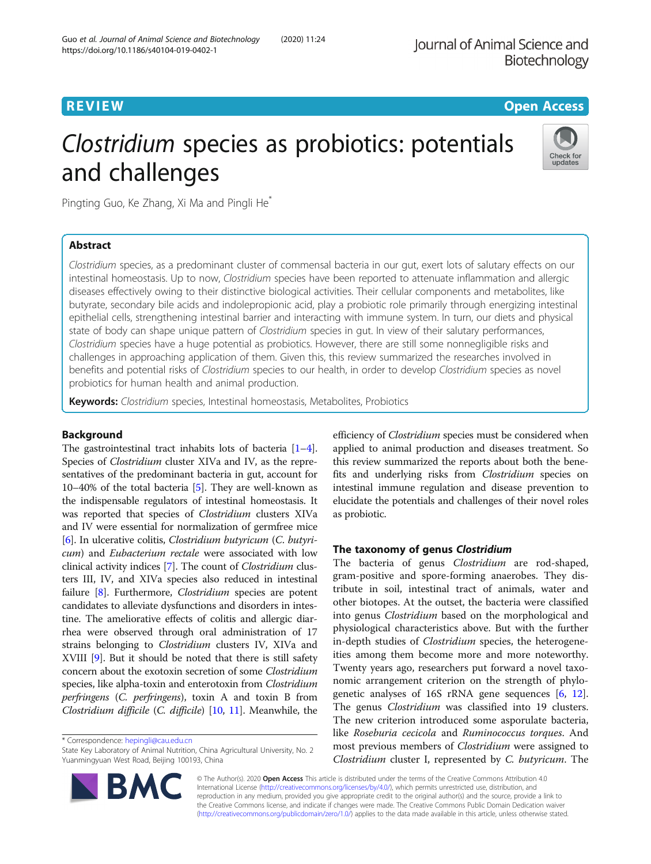# **REVIEW CONTROL** CONTROL CONTROL CONTROL CONTROL CONTROL CONTROL CONTROL CONTROL CONTROL CONTROL CONTROL CONTROL

# Clostridium species as probiotics: potentials and challenges



Pingting Guo, Ke Zhang, Xi Ma and Pingli He\*

# Abstract

Clostridium species, as a predominant cluster of commensal bacteria in our gut, exert lots of salutary effects on our intestinal homeostasis. Up to now, Clostridium species have been reported to attenuate inflammation and allergic diseases effectively owing to their distinctive biological activities. Their cellular components and metabolites, like butyrate, secondary bile acids and indolepropionic acid, play a probiotic role primarily through energizing intestinal epithelial cells, strengthening intestinal barrier and interacting with immune system. In turn, our diets and physical state of body can shape unique pattern of Clostridium species in gut. In view of their salutary performances, Clostridium species have a huge potential as probiotics. However, there are still some nonnegligible risks and challenges in approaching application of them. Given this, this review summarized the researches involved in benefits and potential risks of Clostridium species to our health, in order to develop Clostridium species as novel probiotics for human health and animal production.

Keywords: Clostridium species, Intestinal homeostasis, Metabolites, Probiotics

# Background

The gastrointestinal tract inhabits lots of bacteria [[1](#page-7-0)–[4](#page-7-0)]. Species of Clostridium cluster XIVa and IV, as the representatives of the predominant bacteria in gut, account for 10–40% of the total bacteria [\[5\]](#page-7-0). They are well-known as the indispensable regulators of intestinal homeostasis. It was reported that species of Clostridium clusters XIVa and IV were essential for normalization of germfree mice [[6\]](#page-7-0). In ulcerative colitis, Clostridium butyricum (C. butyricum) and Eubacterium rectale were associated with low clinical activity indices [[7](#page-7-0)]. The count of Clostridium clusters III, IV, and XIVa species also reduced in intestinal failure [[8\]](#page-7-0). Furthermore, *Clostridium* species are potent candidates to alleviate dysfunctions and disorders in intestine. The ameliorative effects of colitis and allergic diarrhea were observed through oral administration of 17 strains belonging to Clostridium clusters IV, XIVa and XVIII [\[9](#page-7-0)]. But it should be noted that there is still safety concern about the exotoxin secretion of some Clostridium species, like alpha-toxin and enterotoxin from Clostridium perfringens (C. perfringens), toxin A and toxin B from Clostridium difficile (C. difficile) [\[10,](#page-7-0) [11](#page-7-0)]. Meanwhile, the

\* Correspondence: [hepingli@cau.edu.cn](mailto:hepingli@cau.edu.cn)

efficiency of Clostridium species must be considered when applied to animal production and diseases treatment. So this review summarized the reports about both the benefits and underlying risks from Clostridium species on intestinal immune regulation and disease prevention to elucidate the potentials and challenges of their novel roles as probiotic.

# The taxonomy of genus Clostridium

The bacteria of genus *Clostridium* are rod-shaped, gram-positive and spore-forming anaerobes. They distribute in soil, intestinal tract of animals, water and other biotopes. At the outset, the bacteria were classified into genus Clostridium based on the morphological and physiological characteristics above. But with the further in-depth studies of *Clostridium* species, the heterogeneities among them become more and more noteworthy. Twenty years ago, researchers put forward a novel taxonomic arrangement criterion on the strength of phylogenetic analyses of 16S rRNA gene sequences [\[6](#page-7-0), [12](#page-7-0)]. The genus Clostridium was classified into 19 clusters. The new criterion introduced some asporulate bacteria, like Roseburia cecicola and Ruminococcus torques. And most previous members of Clostridium were assigned to Clostridium cluster I, represented by C. butyricum. The



© The Author(s). 2020 Open Access This article is distributed under the terms of the Creative Commons Attribution 4.0 International License [\(http://creativecommons.org/licenses/by/4.0/](http://creativecommons.org/licenses/by/4.0/)), which permits unrestricted use, distribution, and reproduction in any medium, provided you give appropriate credit to the original author(s) and the source, provide a link to the Creative Commons license, and indicate if changes were made. The Creative Commons Public Domain Dedication waiver [\(http://creativecommons.org/publicdomain/zero/1.0/](http://creativecommons.org/publicdomain/zero/1.0/)) applies to the data made available in this article, unless otherwise stated.

State Key Laboratory of Animal Nutrition, China Agricultural University, No. 2 Yuanmingyuan West Road, Beijing 100193, China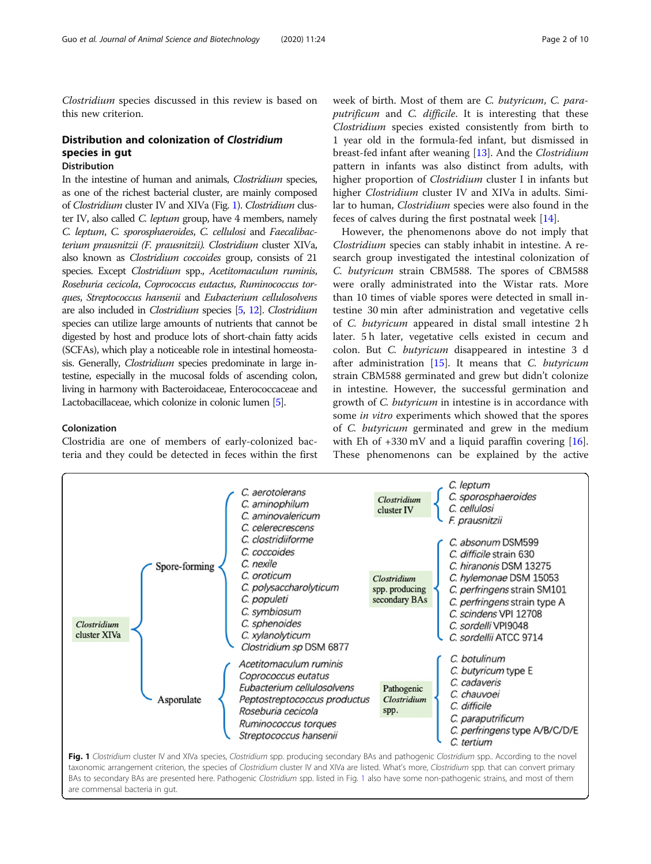<span id="page-1-0"></span>Clostridium species discussed in this review is based on this new criterion.

# Distribution and colonization of Clostridium species in gut

# Distribution

In the intestine of human and animals, Clostridium species, as one of the richest bacterial cluster, are mainly composed of Clostridium cluster IV and XIVa (Fig. 1). Clostridium cluster IV, also called C. leptum group, have 4 members, namely C. leptum, C. sporosphaeroides, C. cellulosi and Faecalibacterium prausnitzii (F. prausnitzii). Clostridium cluster XIVa, also known as Clostridium coccoides group, consists of 21 species. Except Clostridium spp., Acetitomaculum ruminis, Roseburia cecicola, Coprococcus eutactus, Ruminococcus torques, Streptococcus hansenii and Eubacterium cellulosolvens are also included in Clostridium species [\[5](#page-7-0), [12\]](#page-7-0). Clostridium species can utilize large amounts of nutrients that cannot be digested by host and produce lots of short-chain fatty acids (SCFAs), which play a noticeable role in intestinal homeostasis. Generally, Clostridium species predominate in large intestine, especially in the mucosal folds of ascending colon, living in harmony with Bacteroidaceae, Enterococcaceae and Lactobacillaceae, which colonize in colonic lumen [\[5\]](#page-7-0).

# Colonization

Clostridia are one of members of early-colonized bacteria and they could be detected in feces within the first week of birth. Most of them are C. butyricum, C. paraputrificum and C. difficile. It is interesting that these Clostridium species existed consistently from birth to 1 year old in the formula-fed infant, but dismissed in breast-fed infant after weaning [[13\]](#page-8-0). And the Clostridium pattern in infants was also distinct from adults, with higher proportion of Clostridium cluster I in infants but higher *Clostridium* cluster IV and XIVa in adults. Similar to human, Clostridium species were also found in the feces of calves during the first postnatal week [[14\]](#page-8-0).

However, the phenomenons above do not imply that Clostridium species can stably inhabit in intestine. A research group investigated the intestinal colonization of C. butyricum strain CBM588. The spores of CBM588 were orally administrated into the Wistar rats. More than 10 times of viable spores were detected in small intestine 30 min after administration and vegetative cells of C. butyricum appeared in distal small intestine 2 h later. 5 h later, vegetative cells existed in cecum and colon. But C. butyricum disappeared in intestine 3 d after administration  $[15]$  $[15]$ . It means that C. butyricum strain CBM588 germinated and grew but didn't colonize in intestine. However, the successful germination and growth of C. butyricum in intestine is in accordance with some in vitro experiments which showed that the spores of C. butyricum germinated and grew in the medium with Eh of  $+330 \text{ mV}$  and a liquid paraffin covering [\[16](#page-8-0)]. These phenomenons can be explained by the active



taxonomic arrangement criterion, the species of Clostridium cluster IV and XIVa are listed. What's more, Clostridium spp. that can convert primary BAs to secondary BAs are presented here. Pathogenic Clostridium spp. listed in Fig. 1 also have some non-pathogenic strains, and most of them are commensal bacteria in gut.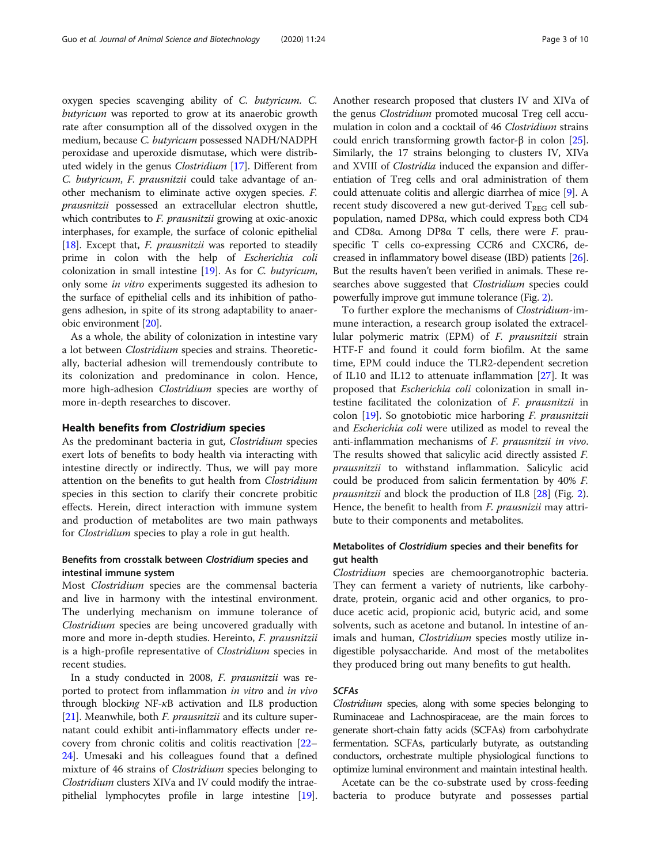oxygen species scavenging ability of C. butyricum. C. butyricum was reported to grow at its anaerobic growth rate after consumption all of the dissolved oxygen in the medium, because C. butyricum possessed NADH/NADPH peroxidase and uperoxide dismutase, which were distributed widely in the genus Clostridium [[17\]](#page-8-0). Different from C. butyricum, F. prausnitzii could take advantage of another mechanism to eliminate active oxygen species. F. prausnitzii possessed an extracellular electron shuttle, which contributes to *F. prausnitzii* growing at oxic-anoxic interphases, for example, the surface of colonic epithelial [[18](#page-8-0)]. Except that,  $F$ . *prausnitzii* was reported to steadily prime in colon with the help of Escherichia coli colonization in small intestine [\[19\]](#page-8-0). As for C. butyricum, only some in vitro experiments suggested its adhesion to the surface of epithelial cells and its inhibition of pathogens adhesion, in spite of its strong adaptability to anaerobic environment [\[20\]](#page-8-0).

As a whole, the ability of colonization in intestine vary a lot between Clostridium species and strains. Theoretically, bacterial adhesion will tremendously contribute to its colonization and predominance in colon. Hence, more high-adhesion Clostridium species are worthy of more in-depth researches to discover.

# Health benefits from Clostridium species

As the predominant bacteria in gut, Clostridium species exert lots of benefits to body health via interacting with intestine directly or indirectly. Thus, we will pay more attention on the benefits to gut health from Clostridium species in this section to clarify their concrete probitic effects. Herein, direct interaction with immune system and production of metabolites are two main pathways for Clostridium species to play a role in gut health.

# Benefits from crosstalk between Clostridium species and intestinal immune system

Most Clostridium species are the commensal bacteria and live in harmony with the intestinal environment. The underlying mechanism on immune tolerance of Clostridium species are being uncovered gradually with more and more in-depth studies. Hereinto, F. prausnitzii is a high-profile representative of *Clostridium* species in recent studies.

In a study conducted in 2008, F. prausnitzii was reported to protect from inflammation in vitro and in vivo through blocking  $NF-*k*B$  activation and IL8 production [[21](#page-8-0)]. Meanwhile, both *F. prausnitzii* and its culture supernatant could exhibit anti-inflammatory effects under recovery from chronic colitis and colitis reactivation [\[22](#page-8-0)– [24](#page-8-0)]. Umesaki and his colleagues found that a defined mixture of 46 strains of Clostridium species belonging to Clostridium clusters XIVa and IV could modify the intraepithelial lymphocytes profile in large intestine [[19](#page-8-0)].

Another research proposed that clusters IV and XIVa of the genus Clostridium promoted mucosal Treg cell accumulation in colon and a cocktail of 46 Clostridium strains could enrich transforming growth factor-β in colon [[25](#page-8-0)]. Similarly, the 17 strains belonging to clusters IV, XIVa and XVIII of Clostridia induced the expansion and differentiation of Treg cells and oral administration of them could attenuate colitis and allergic diarrhea of mice [[9](#page-7-0)]. A recent study discovered a new gut-derived  $T_{REG}$  cell subpopulation, named DP8α, which could express both CD4 and CD8α. Among DP8 $α$  T cells, there were *F*. prauspecific T cells co-expressing CCR6 and CXCR6, decreased in inflammatory bowel disease (IBD) patients [[26](#page-8-0)]. But the results haven't been verified in animals. These researches above suggested that *Clostridium* species could powerfully improve gut immune tolerance (Fig. [2\)](#page-3-0).

To further explore the mechanisms of Clostridium-immune interaction, a research group isolated the extracellular polymeric matrix (EPM) of F. prausnitzii strain HTF-F and found it could form biofilm. At the same time, EPM could induce the TLR2-dependent secretion of IL10 and IL12 to attenuate inflammation [[27](#page-8-0)]. It was proposed that Escherichia coli colonization in small intestine facilitated the colonization of F. prausnitzii in colon [\[19](#page-8-0)]. So gnotobiotic mice harboring F. prausnitzii and Escherichia coli were utilized as model to reveal the anti-inflammation mechanisms of F. prausnitzii in vivo. The results showed that salicylic acid directly assisted F. prausnitzii to withstand inflammation. Salicylic acid could be produced from salicin fermentation by 40% F. prausnitzii and block the production of IL8 [\[28\]](#page-8-0) (Fig. [2](#page-3-0)). Hence, the benefit to health from *F. prausnizii* may attribute to their components and metabolites.

# Metabolites of Clostridium species and their benefits for gut health

Clostridium species are chemoorganotrophic bacteria. They can ferment a variety of nutrients, like carbohydrate, protein, organic acid and other organics, to produce acetic acid, propionic acid, butyric acid, and some solvents, such as acetone and butanol. In intestine of animals and human, *Clostridium* species mostly utilize indigestible polysaccharide. And most of the metabolites they produced bring out many benefits to gut health.

# SCFAs

Clostridium species, along with some species belonging to Ruminaceae and Lachnospiraceae, are the main forces to generate short-chain fatty acids (SCFAs) from carbohydrate fermentation. SCFAs, particularly butyrate, as outstanding conductors, orchestrate multiple physiological functions to optimize luminal environment and maintain intestinal health.

Acetate can be the co-substrate used by cross-feeding bacteria to produce butyrate and possesses partial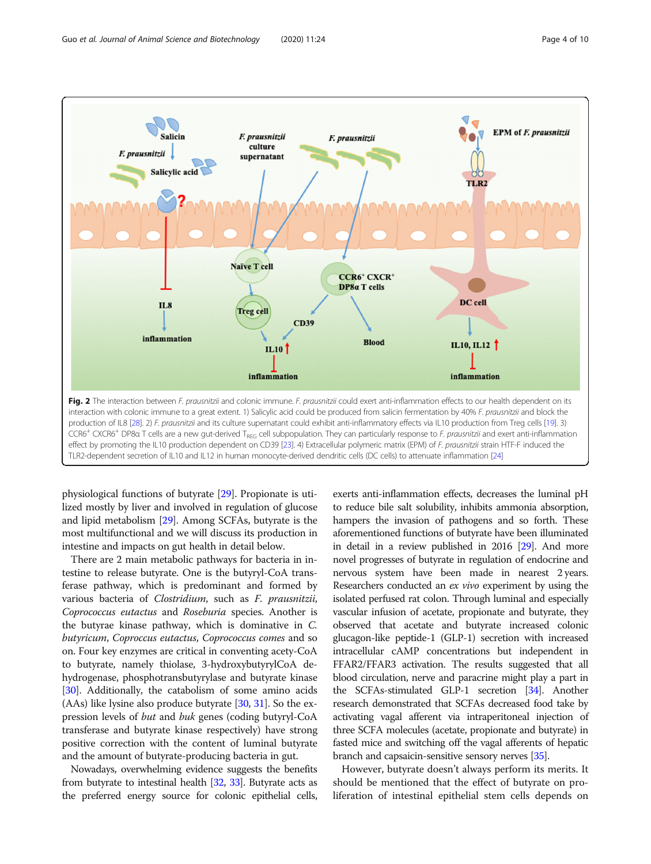<span id="page-3-0"></span>

physiological functions of butyrate [\[29\]](#page-8-0). Propionate is utilized mostly by liver and involved in regulation of glucose and lipid metabolism [[29](#page-8-0)]. Among SCFAs, butyrate is the most multifunctional and we will discuss its production in intestine and impacts on gut health in detail below.

There are 2 main metabolic pathways for bacteria in intestine to release butyrate. One is the butyryl-CoA transferase pathway, which is predominant and formed by various bacteria of Clostridium, such as F. prausnitzii, Coprococcus eutactus and Roseburia species. Another is the butyrae kinase pathway, which is dominative in C. butyricum, Coproccus eutactus, Coprococcus comes and so on. Four key enzymes are critical in conventing acety-CoA to butyrate, namely thiolase, 3-hydroxybutyrylCoA dehydrogenase, phosphotransbutyrylase and butyrate kinase [[30](#page-8-0)]. Additionally, the catabolism of some amino acids (AAs) like lysine also produce butyrate  $[30, 31]$  $[30, 31]$  $[30, 31]$  $[30, 31]$ . So the expression levels of but and buk genes (coding butyryl-CoA transferase and butyrate kinase respectively) have strong positive correction with the content of luminal butyrate and the amount of butyrate-producing bacteria in gut.

Nowadays, overwhelming evidence suggests the benefits from butyrate to intestinal health [\[32,](#page-8-0) [33\]](#page-8-0). Butyrate acts as the preferred energy source for colonic epithelial cells,

exerts anti-inflammation effects, decreases the luminal pH to reduce bile salt solubility, inhibits ammonia absorption, hampers the invasion of pathogens and so forth. These aforementioned functions of butyrate have been illuminated in detail in a review published in 2016 [[29](#page-8-0)]. And more novel progresses of butyrate in regulation of endocrine and nervous system have been made in nearest 2 years. Researchers conducted an ex vivo experiment by using the isolated perfused rat colon. Through luminal and especially vascular infusion of acetate, propionate and butyrate, they observed that acetate and butyrate increased colonic glucagon-like peptide-1 (GLP-1) secretion with increased intracellular cAMP concentrations but independent in FFAR2/FFAR3 activation. The results suggested that all blood circulation, nerve and paracrine might play a part in the SCFAs-stimulated GLP-1 secretion [\[34\]](#page-8-0). Another research demonstrated that SCFAs decreased food take by activating vagal afferent via intraperitoneal injection of three SCFA molecules (acetate, propionate and butyrate) in fasted mice and switching off the vagal afferents of hepatic branch and capsaicin-sensitive sensory nerves [[35\]](#page-8-0).

However, butyrate doesn't always perform its merits. It should be mentioned that the effect of butyrate on proliferation of intestinal epithelial stem cells depends on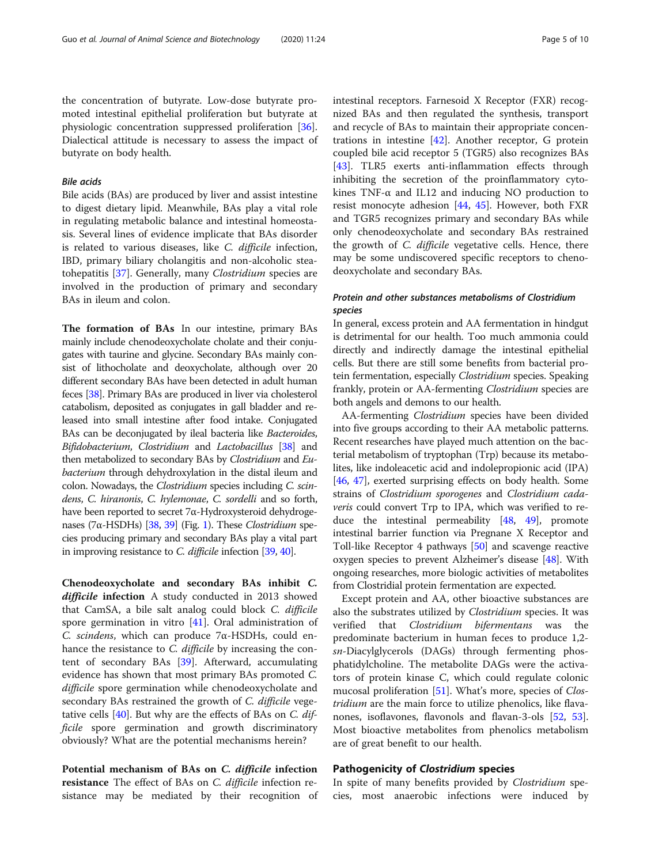the concentration of butyrate. Low-dose butyrate promoted intestinal epithelial proliferation but butyrate at physiologic concentration suppressed proliferation [\[36](#page-8-0)]. Dialectical attitude is necessary to assess the impact of butyrate on body health.

#### Bile acids

Bile acids (BAs) are produced by liver and assist intestine to digest dietary lipid. Meanwhile, BAs play a vital role in regulating metabolic balance and intestinal homeostasis. Several lines of evidence implicate that BAs disorder is related to various diseases, like C. difficile infection, IBD, primary biliary cholangitis and non-alcoholic steatohepatitis [[37\]](#page-8-0). Generally, many Clostridium species are involved in the production of primary and secondary BAs in ileum and colon.

The formation of BAs In our intestine, primary BAs mainly include chenodeoxycholate cholate and their conjugates with taurine and glycine. Secondary BAs mainly consist of lithocholate and deoxycholate, although over 20 different secondary BAs have been detected in adult human feces [\[38\]](#page-8-0). Primary BAs are produced in liver via cholesterol catabolism, deposited as conjugates in gall bladder and released into small intestine after food intake. Conjugated BAs can be deconjugated by ileal bacteria like Bacteroides, Bifidobacterium, Clostridium and Lactobacillus [\[38](#page-8-0)] and then metabolized to secondary BAs by Clostridium and Eubacterium through dehydroxylation in the distal ileum and colon. Nowadays, the Clostridium species including C. scindens, C. hiranonis, C. hylemonae, C. sordelli and so forth, have been reported to secret 7α-Hydroxysteroid dehydroge-nases (7α-HSDHs) [\[38](#page-8-0), [39\]](#page-8-0) (Fig. [1](#page-1-0)). These *Clostridium* species producing primary and secondary BAs play a vital part in improving resistance to C. difficile infection [\[39,](#page-8-0) [40\]](#page-8-0).

Chenodeoxycholate and secondary BAs inhibit C. difficile infection A study conducted in 2013 showed that CamSA, a bile salt analog could block C. difficile spore germination in vitro [\[41](#page-8-0)]. Oral administration of C. scindens, which can produce 7α-HSDHs, could enhance the resistance to *C. difficile* by increasing the content of secondary BAs [\[39](#page-8-0)]. Afterward, accumulating evidence has shown that most primary BAs promoted C. difficile spore germination while chenodeoxycholate and secondary BAs restrained the growth of *C. difficile* vegetative cells  $[40]$  $[40]$ . But why are the effects of BAs on C. difficile spore germination and growth discriminatory obviously? What are the potential mechanisms herein?

Potential mechanism of BAs on C. difficile infection **resistance** The effect of BAs on C. difficile infection resistance may be mediated by their recognition of

intestinal receptors. Farnesoid X Receptor (FXR) recognized BAs and then regulated the synthesis, transport and recycle of BAs to maintain their appropriate concentrations in intestine [[42\]](#page-8-0). Another receptor, G protein coupled bile acid receptor 5 (TGR5) also recognizes BAs [[43\]](#page-8-0). TLR5 exerts anti-inflammation effects through inhibiting the secretion of the proinflammatory cytokines TNF- $\alpha$  and IL12 and inducing NO production to resist monocyte adhesion [[44,](#page-8-0) [45\]](#page-8-0). However, both FXR and TGR5 recognizes primary and secondary BAs while only chenodeoxycholate and secondary BAs restrained the growth of C. difficile vegetative cells. Hence, there may be some undiscovered specific receptors to chenodeoxycholate and secondary BAs.

# Protein and other substances metabolisms of Clostridium species

In general, excess protein and AA fermentation in hindgut is detrimental for our health. Too much ammonia could directly and indirectly damage the intestinal epithelial cells. But there are still some benefits from bacterial protein fermentation, especially Clostridium species. Speaking frankly, protein or AA-fermenting *Clostridium* species are both angels and demons to our health.

AA-fermenting Clostridium species have been divided into five groups according to their AA metabolic patterns. Recent researches have played much attention on the bacterial metabolism of tryptophan (Trp) because its metabolites, like indoleacetic acid and indolepropionic acid (IPA) [[46](#page-8-0), [47](#page-8-0)], exerted surprising effects on body health. Some strains of Clostridium sporogenes and Clostridium cadaveris could convert Trp to IPA, which was verified to reduce the intestinal permeability [\[48,](#page-8-0) [49](#page-8-0)], promote intestinal barrier function via Pregnane X Receptor and Toll-like Receptor 4 pathways [[50\]](#page-8-0) and scavenge reactive oxygen species to prevent Alzheimer's disease [\[48](#page-8-0)]. With ongoing researches, more biologic activities of metabolites from Clostridial protein fermentation are expected.

Except protein and AA, other bioactive substances are also the substrates utilized by Clostridium species. It was verified that Clostridium bifermentans was the predominate bacterium in human feces to produce 1,2 sn-Diacylglycerols (DAGs) through fermenting phosphatidylcholine. The metabolite DAGs were the activators of protein kinase C, which could regulate colonic mucosal proliferation [[51](#page-8-0)]. What's more, species of Clostridium are the main force to utilize phenolics, like flavanones, isoflavones, flavonols and flavan-3-ols [\[52](#page-8-0), [53](#page-8-0)]. Most bioactive metabolites from phenolics metabolism are of great benefit to our health.

#### Pathogenicity of Clostridium species

In spite of many benefits provided by Clostridium species, most anaerobic infections were induced by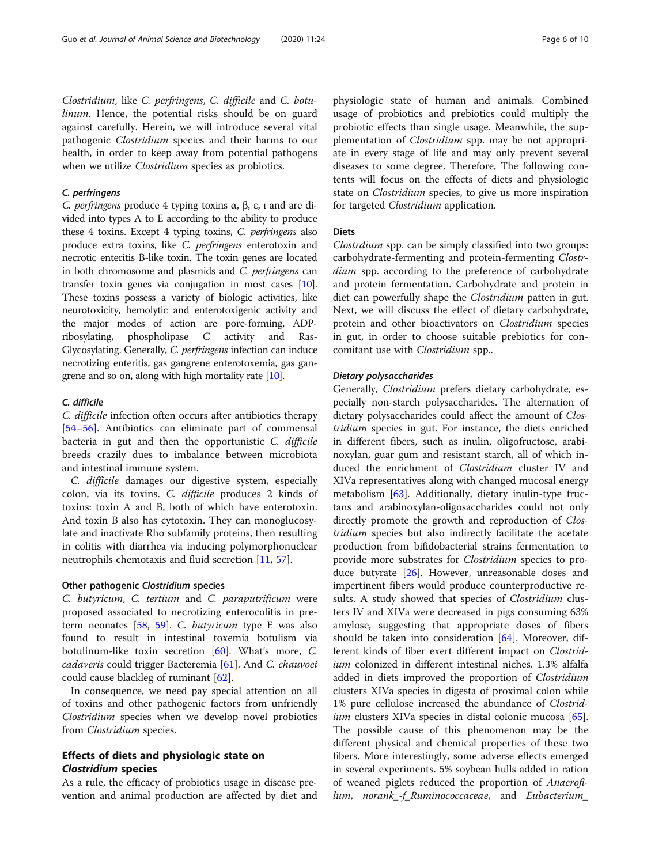Clostridium, like C. perfringens, C. difficile and C. botulinum. Hence, the potential risks should be on guard against carefully. Herein, we will introduce several vital pathogenic Clostridium species and their harms to our health, in order to keep away from potential pathogens when we utilize *Clostridium* species as probiotics.

# C. perfringens

C. perfringens produce 4 typing toxins α, β, ε, ι and are divided into types A to E according to the ability to produce these 4 toxins. Except 4 typing toxins, C. perfringens also produce extra toxins, like C. perfringens enterotoxin and necrotic enteritis B-like toxin. The toxin genes are located in both chromosome and plasmids and C. perfringens can transfer toxin genes via conjugation in most cases [\[10](#page-7-0)]. These toxins possess a variety of biologic activities, like neurotoxicity, hemolytic and enterotoxigenic activity and the major modes of action are pore-forming, ADPribosylating, phospholipase C activity and Ras-Glycosylating. Generally, C. perfringens infection can induce necrotizing enteritis, gas gangrene enterotoxemia, gas gangrene and so on, along with high mortality rate  $[10]$ .

#### C. difficile

C. difficile infection often occurs after antibiotics therapy [[54](#page-8-0)–[56](#page-8-0)]. Antibiotics can eliminate part of commensal bacteria in gut and then the opportunistic C. difficile breeds crazily dues to imbalance between microbiota and intestinal immune system.

C. difficile damages our digestive system, especially colon, via its toxins. C. difficile produces 2 kinds of toxins: toxin A and B, both of which have enterotoxin. And toxin B also has cytotoxin. They can monoglucosylate and inactivate Rho subfamily proteins, then resulting in colitis with diarrhea via inducing polymorphonuclear neutrophils chemotaxis and fluid secretion [[11](#page-7-0), [57](#page-8-0)].

#### Other pathogenic Clostridium species

C. butyricum, C. tertium and C. paraputrificum were proposed associated to necrotizing enterocolitis in preterm neonates [\[58,](#page-8-0) [59\]](#page-9-0). C. butyricum type E was also found to result in intestinal toxemia botulism via botulinum-like toxin secretion [[60](#page-9-0)]. What's more, C. cadaveris could trigger Bacteremia [[61](#page-9-0)]. And C. chauvoei could cause blackleg of ruminant [[62](#page-9-0)].

In consequence, we need pay special attention on all of toxins and other pathogenic factors from unfriendly Clostridium species when we develop novel probiotics from Clostridium species.

# Effects of diets and physiologic state on Clostridium species

As a rule, the efficacy of probiotics usage in disease prevention and animal production are affected by diet and

physiologic state of human and animals. Combined usage of probiotics and prebiotics could multiply the probiotic effects than single usage. Meanwhile, the supplementation of Clostridium spp. may be not appropriate in every stage of life and may only prevent several diseases to some degree. Therefore, The following contents will focus on the effects of diets and physiologic state on Clostridium species, to give us more inspiration for targeted Clostridium application.

#### **Diets**

Clostrdium spp. can be simply classified into two groups: carbohydrate-fermenting and protein-fermenting Clostrdium spp. according to the preference of carbohydrate and protein fermentation. Carbohydrate and protein in diet can powerfully shape the Clostridium patten in gut. Next, we will discuss the effect of dietary carbohydrate, protein and other bioactivators on Clostridium species in gut, in order to choose suitable prebiotics for concomitant use with Clostridium spp..

#### Dietary polysaccharides

Generally, Clostridium prefers dietary carbohydrate, especially non-starch polysaccharides. The alternation of dietary polysaccharides could affect the amount of Clostridium species in gut. For instance, the diets enriched in different fibers, such as inulin, oligofructose, arabinoxylan, guar gum and resistant starch, all of which induced the enrichment of Clostridium cluster IV and XIVa representatives along with changed mucosal energy metabolism [\[63\]](#page-9-0). Additionally, dietary inulin-type fructans and arabinoxylan-oligosaccharides could not only directly promote the growth and reproduction of *Clos*tridium species but also indirectly facilitate the acetate production from bifidobacterial strains fermentation to provide more substrates for Clostridium species to produce butyrate [[26\]](#page-8-0). However, unreasonable doses and impertinent fibers would produce counterproductive results. A study showed that species of *Clostridium* clusters IV and XIVa were decreased in pigs consuming 63% amylose, suggesting that appropriate doses of fibers should be taken into consideration [[64\]](#page-9-0). Moreover, different kinds of fiber exert different impact on Clostridium colonized in different intestinal niches. 1.3% alfalfa added in diets improved the proportion of Clostridium clusters XIVa species in digesta of proximal colon while 1% pure cellulose increased the abundance of Clostrid*ium* clusters XIVa species in distal colonic mucosa [\[65](#page-9-0)]. The possible cause of this phenomenon may be the different physical and chemical properties of these two fibers. More interestingly, some adverse effects emerged in several experiments. 5% soybean hulls added in ration of weaned piglets reduced the proportion of Anaerofilum, norank\_-f\_Ruminococcaceae, and Eubacterium\_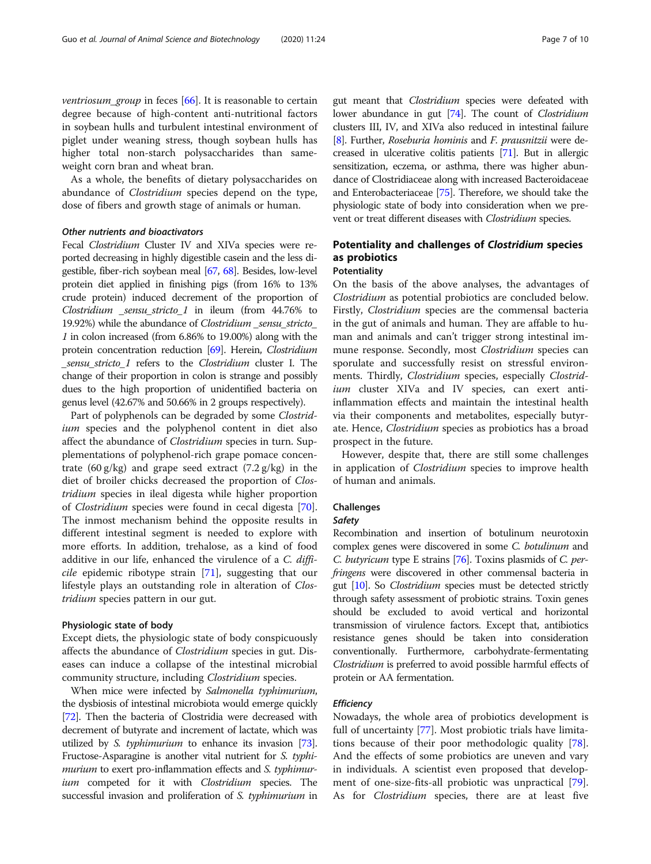*ventriosum\_group* in feces  $[66]$  $[66]$ . It is reasonable to certain degree because of high-content anti-nutritional factors in soybean hulls and turbulent intestinal environment of piglet under weaning stress, though soybean hulls has higher total non-starch polysaccharides than sameweight corn bran and wheat bran.

As a whole, the benefits of dietary polysaccharides on abundance of Clostridium species depend on the type, dose of fibers and growth stage of animals or human.

# Other nutrients and bioactivators

Fecal Clostridium Cluster IV and XIVa species were reported decreasing in highly digestible casein and the less digestible, fiber-rich soybean meal [[67](#page-9-0), [68\]](#page-9-0). Besides, low-level protein diet applied in finishing pigs (from 16% to 13% crude protein) induced decrement of the proportion of Clostridium \_sensu\_stricto\_1 in ileum (from 44.76% to 19.92%) while the abundance of Clostridium \_sensu\_stricto\_ 1 in colon increased (from 6.86% to 19.00%) along with the protein concentration reduction [\[69\]](#page-9-0). Herein, Clostridium \_sensu\_stricto\_1 refers to the Clostridium cluster I. The change of their proportion in colon is strange and possibly dues to the high proportion of unidentified bacteria on genus level (42.67% and 50.66% in 2 groups respectively).

Part of polyphenols can be degraded by some Clostridium species and the polyphenol content in diet also affect the abundance of Clostridium species in turn. Supplementations of polyphenol-rich grape pomace concentrate  $(60 \text{ g/kg})$  and grape seed extract  $(7.2 \text{ g/kg})$  in the diet of broiler chicks decreased the proportion of Clostridium species in ileal digesta while higher proportion of Clostridium species were found in cecal digesta [\[70](#page-9-0)]. The inmost mechanism behind the opposite results in different intestinal segment is needed to explore with more efforts. In addition, trehalose, as a kind of food additive in our life, enhanced the virulence of a C. difficile epidemic ribotype strain [\[71](#page-9-0)], suggesting that our lifestyle plays an outstanding role in alteration of Clostridium species pattern in our gut.

# Physiologic state of body

Except diets, the physiologic state of body conspicuously affects the abundance of Clostridium species in gut. Diseases can induce a collapse of the intestinal microbial community structure, including Clostridium species.

When mice were infected by Salmonella typhimurium, the dysbiosis of intestinal microbiota would emerge quickly [[72](#page-9-0)]. Then the bacteria of Clostridia were decreased with decrement of butyrate and increment of lactate, which was utilized by S. typhimurium to enhance its invasion [\[73](#page-9-0)]. Fructose-Asparagine is another vital nutrient for S. typhimurium to exert pro-inflammation effects and *S. typhimur*ium competed for it with *Clostridium* species. The successful invasion and proliferation of S. typhimurium in gut meant that Clostridium species were defeated with lower abundance in gut [\[74](#page-9-0)]. The count of *Clostridium* clusters III, IV, and XIVa also reduced in intestinal failure [[8](#page-7-0)]. Further, Roseburia hominis and F. prausnitzii were decreased in ulcerative colitis patients [\[71](#page-9-0)]. But in allergic sensitization, eczema, or asthma, there was higher abundance of Clostridiaceae along with increased Bacteroidaceae and Enterobacteriaceae [\[75\]](#page-9-0). Therefore, we should take the physiologic state of body into consideration when we prevent or treat different diseases with Clostridium species.

# Potentiality and challenges of Clostridium species as probiotics

## **Potentiality**

On the basis of the above analyses, the advantages of Clostridium as potential probiotics are concluded below. Firstly, Clostridium species are the commensal bacteria in the gut of animals and human. They are affable to human and animals and can't trigger strong intestinal immune response. Secondly, most Clostridium species can sporulate and successfully resist on stressful environments. Thirdly, Clostridium species, especially Clostridium cluster XIVa and IV species, can exert antiinflammation effects and maintain the intestinal health via their components and metabolites, especially butyrate. Hence, Clostridium species as probiotics has a broad prospect in the future.

However, despite that, there are still some challenges in application of *Clostridium* species to improve health of human and animals.

# Challenges

#### Safety

Recombination and insertion of botulinum neurotoxin complex genes were discovered in some C. botulinum and C. butyricum type E strains [\[76\]](#page-9-0). Toxins plasmids of C. perfringens were discovered in other commensal bacteria in gut [\[10\]](#page-7-0). So Clostridium species must be detected strictly through safety assessment of probiotic strains. Toxin genes should be excluded to avoid vertical and horizontal transmission of virulence factors. Except that, antibiotics resistance genes should be taken into consideration conventionally. Furthermore, carbohydrate-fermentating Clostridium is preferred to avoid possible harmful effects of protein or AA fermentation.

# **Efficiency**

Nowadays, the whole area of probiotics development is full of uncertainty [[77](#page-9-0)]. Most probiotic trials have limitations because of their poor methodologic quality [\[78](#page-9-0)]. And the effects of some probiotics are uneven and vary in individuals. A scientist even proposed that development of one-size-fits-all probiotic was unpractical [\[79](#page-9-0)]. As for Clostridium species, there are at least five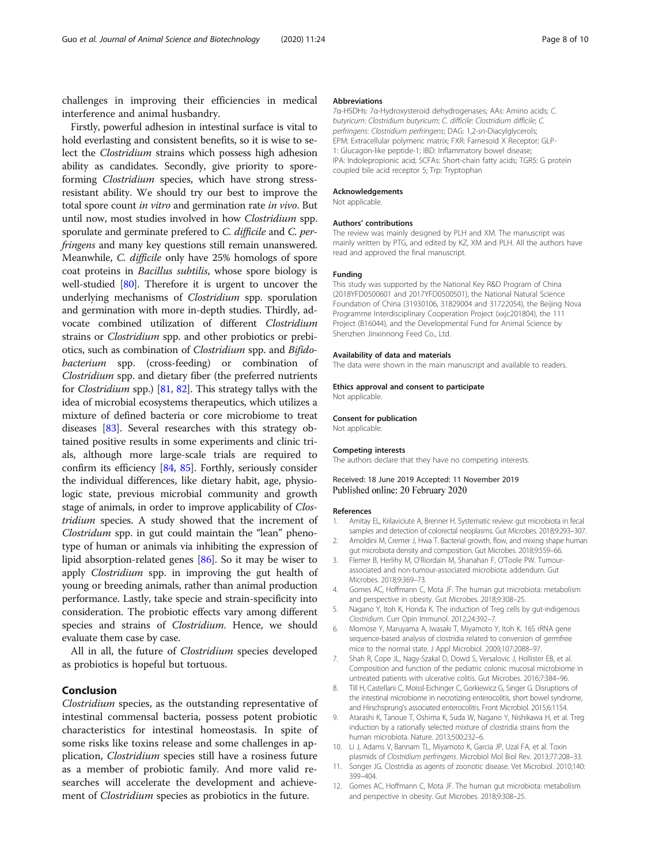<span id="page-7-0"></span>challenges in improving their efficiencies in medical interference and animal husbandry.

Firstly, powerful adhesion in intestinal surface is vital to hold everlasting and consistent benefits, so it is wise to select the Clostridium strains which possess high adhesion ability as candidates. Secondly, give priority to sporeforming Clostridium species, which have strong stressresistant ability. We should try our best to improve the total spore count in vitro and germination rate in vivo. But until now, most studies involved in how Clostridium spp. sporulate and germinate prefered to C. difficile and C. perfringens and many key questions still remain unanswered. Meanwhile, C. difficile only have 25% homologs of spore coat proteins in Bacillus subtilis, whose spore biology is well-studied [[80\]](#page-9-0). Therefore it is urgent to uncover the underlying mechanisms of Clostridium spp. sporulation and germination with more in-depth studies. Thirdly, advocate combined utilization of different Clostridium strains or Clostridium spp. and other probiotics or prebiotics, such as combination of Clostridium spp. and Bifidobacterium spp. (cross-feeding) or combination of Clostridium spp. and dietary fiber (the preferred nutrients for Clostridium spp.) [[81](#page-9-0), [82](#page-9-0)]. This strategy tallys with the idea of microbial ecosystems therapeutics, which utilizes a mixture of defined bacteria or core microbiome to treat diseases [[83](#page-9-0)]. Several researches with this strategy obtained positive results in some experiments and clinic trials, although more large-scale trials are required to confirm its efficiency [\[84,](#page-9-0) [85\]](#page-9-0). Forthly, seriously consider the individual differences, like dietary habit, age, physiologic state, previous microbial community and growth stage of animals, in order to improve applicability of Clostridium species. A study showed that the increment of Clostridum spp. in gut could maintain the "lean" phenotype of human or animals via inhibiting the expression of lipid absorption-related genes [[86](#page-9-0)]. So it may be wiser to apply Clostridium spp. in improving the gut health of young or breeding animals, rather than animal production performance. Lastly, take specie and strain-specificity into consideration. The probiotic effects vary among different species and strains of Clostridium. Hence, we should evaluate them case by case.

All in all, the future of *Clostridium* species developed as probiotics is hopeful but tortuous.

#### Conclusion

Clostridium species, as the outstanding representative of intestinal commensal bacteria, possess potent probiotic characteristics for intestinal homeostasis. In spite of some risks like toxins release and some challenges in application, Clostridium species still have a rosiness future as a member of probiotic family. And more valid researches will accelerate the development and achievement of *Clostridium* species as probiotics in the future.

#### Abbreviations

7α-HSDHs: 7α-Hydroxysteroid dehydrogenases; AAs: Amino acids; C. butyricum: Clostridium butyricum; C. difficile: Clostridium difficile; C. perfringens: Clostridium perfringens; DAG: 1,2-sn-Diacylglycerols; EPM: Extracellular polymeric matrix; FXR: Farnesoid X Receptor; GLP-1: Glucagon-like peptide-1; IBD: Inflammatory bowel disease; IPA: Indolepropionic acid; SCFAs: Short-chain fatty acids; TGR5: G protein coupled bile acid receptor 5; Trp: Tryptophan

#### Acknowledgements

Not applicable.

#### Authors' contributions

The review was mainly designed by PLH and XM. The manuscript was mainly written by PTG, and edited by KZ, XM and PLH. All the authors have read and approved the final manuscript.

#### Funding

This study was supported by the National Key R&D Program of China (2018YFD0500601 and 2017YFD0500501), the National Natural Science Foundation of China (31930106, 31829004 and 31722054), the Beijing Nova Programme Interdisciplinary Cooperation Project (xxjc201804), the 111 Project (B16044), and the Developmental Fund for Animal Science by Shenzhen Jinxinnong Feed Co., Ltd.

#### Availability of data and materials

The data were shown in the main manuscript and available to readers.

#### Ethics approval and consent to participate

Not applicable.

#### Consent for publication

Not applicable.

#### Competing interests

The authors declare that they have no competing interests.

#### Received: 18 June 2019 Accepted: 11 November 2019 Published online: 20 February 2020

#### References

- 1. Amitay EL, Krilaviciute A, Brenner H. Systematic review: gut microbiota in fecal samples and detection of colorectal neoplasms. Gut Microbes. 2018;9:293–307.
- 2. Arnoldini M, Cremer J, Hwa T. Bacterial growth, flow, and mixing shape human gut microbiota density and composition. Gut Microbes. 2018;9:559–66.
- 3. Flemer B, Herlihy M, O'Riordain M, Shanahan F, O'Toole PW. Tumourassociated and non-tumour-associated microbiota: addendum. Gut Microbes. 2018;9:369–73.
- 4. Gomes AC, Hoffmann C, Mota JF. The human gut microbiota: metabolism and perspective in obesity. Gut Microbes. 2018;9:308–25.
- 5. Nagano Y, Itoh K, Honda K. The induction of Treg cells by gut-indigenous Clostridium. Curr Opin Immunol. 2012;24:392–7.
- 6. Momose Y, Maruyama A, Iwasaki T, Miyamoto Y, Itoh K. 16S rRNA gene sequence-based analysis of clostridia related to conversion of germfree mice to the normal state. J Appl Microbiol. 2009;107:2088–97.
- 7. Shah R, Cope JL, Nagy-Szakal D, Dowd S, Versalovic J, Hollister EB, et al. Composition and function of the pediatric colonic mucosal microbiome in untreated patients with ulcerative colitis. Gut Microbes. 2016;7:384–96.
- 8. Till H, Castellani C, Moissl-Eichinger C, Gorkiewicz G, Singer G. Disruptions of the intestinal microbiome in necrotizing enterocolitis, short bowel syndrome, and Hirschsprung's associated enterocolitis. Front Microbiol. 2015;6:1154.
- 9. Atarashi K, Tanoue T, Oshima K, Suda W, Nagano Y, Nishikawa H, et al. Treg induction by a rationally selected mixture of clostridia strains from the human microbiota. Nature. 2013;500:232–6.
- 10. Li J, Adams V, Bannam TL, Miyamoto K, Garcia JP, Uzal FA, et al. Toxin plasmids of Clostridium perfringens. Microbiol Mol Biol Rev. 2013;77:208–33. 11. Songer JG. Clostridia as agents of zoonotic disease. Vet Microbiol. 2010;140:
- 399–404. 12. Gomes AC, Hoffmann C, Mota JF. The human gut microbiota: metabolism
- and perspective in obesity. Gut Microbes. 2018;9:308–25.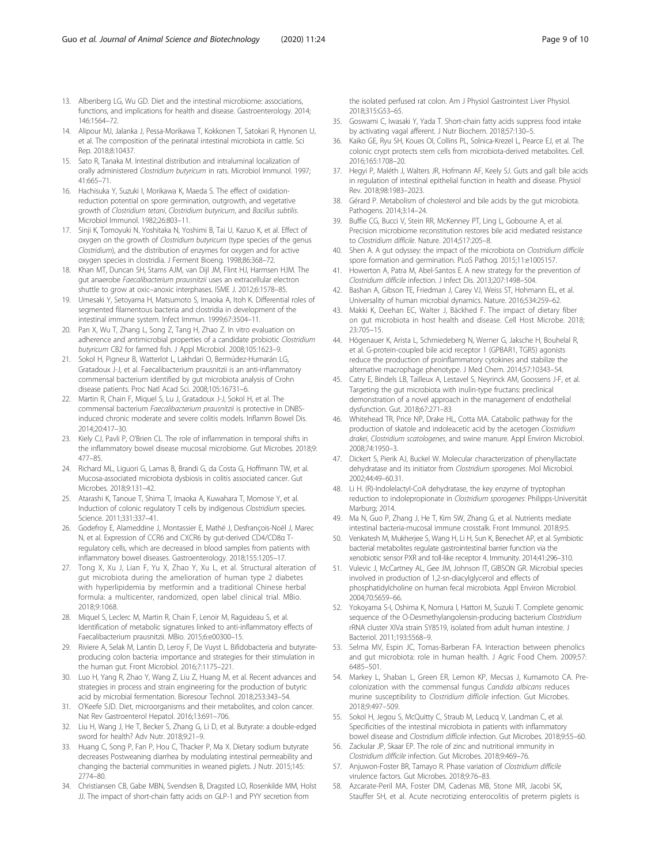- <span id="page-8-0"></span>13. Albenberg LG, Wu GD. Diet and the intestinal microbiome: associations, functions, and implications for health and disease. Gastroenterology. 2014; 146:1564–72.
- 14. Alipour MJ, Jalanka J, Pessa-Morikawa T, Kokkonen T, Satokari R, Hynonen U, et al. The composition of the perinatal intestinal microbiota in cattle. Sci Rep. 2018;8:10437.
- 15. Sato R, Tanaka M. Intestinal distribution and intraluminal localization of orally administered Clostridium butyricum in rats. Microbiol Immunol. 1997; 41:665–71.
- 16. Hachisuka Y, Suzuki I, Morikawa K, Maeda S. The effect of oxidationreduction potential on spore germination, outgrowth, and vegetative growth of Clostridium tetani, Clostridium butyricum, and Bacillus subtilis. Microbiol Immunol. 1982;26:803–11.
- 17. Sinji K, Tomoyuki N, Yoshitaka N, Yoshimi B, Tai U, Kazuo K, et al. Effect of oxygen on the growth of Clostridium butyricum (type species of the genus Clostridium), and the distribution of enzymes for oxygen and for active oxygen species in clostridia. J Ferment Bioeng. 1998;86:368–72.
- 18. Khan MT, Duncan SH, Stams AJM, van Dijl JM, Flint HJ, Harmsen HJM. The gut anaerobe Faecalibacterium prausnitzii uses an extracellular electron shuttle to grow at oxic–anoxic interphases. ISME J. 2012;6:1578–85.
- 19. Umesaki Y, Setoyama H, Matsumoto S, Imaoka A, Itoh K. Differential roles of segmented filamentous bacteria and clostridia in development of the intestinal immune system. Infect Immun. 1999;67:3504–11.
- 20. Pan X, Wu T, Zhang L, Song Z, Tang H, Zhao Z. In vitro evaluation on adherence and antimicrobial properties of a candidate probiotic Clostridium butyricum CB2 for farmed fish. J Appl Microbiol. 2008;105:1623–9.
- 21. Sokol H, Pigneur B, Watterlot L, Lakhdari O, Bermúdez-Humarán LG, Gratadoux J-J, et al. Faecalibacterium prausnitzii is an anti-inflammatory commensal bacterium identified by gut microbiota analysis of Crohn disease patients. Proc Natl Acad Sci. 2008;105:16731–6.
- 22. Martin R, Chain F, Miquel S, Lu J, Gratadoux J-J, Sokol H, et al. The commensal bacterium Faecalibacterium prausnitzii is protective in DNBSinduced chronic moderate and severe colitis models. Inflamm Bowel Dis. 2014;20:417–30.
- 23. Kiely CJ, Pavli P, O'Brien CL. The role of inflammation in temporal shifts in the inflammatory bowel disease mucosal microbiome. Gut Microbes. 2018;9: 477–85.
- 24. Richard ML, Liguori G, Lamas B, Brandi G, da Costa G, Hoffmann TW, et al. Mucosa-associated microbiota dysbiosis in colitis associated cancer. Gut Microbes. 2018;9:131–42.
- 25. Atarashi K, Tanoue T, Shima T, Imaoka A, Kuwahara T, Momose Y, et al. Induction of colonic regulatory T cells by indigenous Clostridium species. Science. 2011;331:337–41.
- 26. Godefroy E, Alameddine J, Montassier E, Mathé J, Desfrançois-Noël J, Marec N, et al. Expression of CCR6 and CXCR6 by gut-derived CD4/CD8α Tregulatory cells, which are decreased in blood samples from patients with inflammatory bowel diseases. Gastroenterology. 2018;155:1205–17.
- 27. Tong X, Xu J, Lian F, Yu X, Zhao Y, Xu L, et al. Structural alteration of gut microbiota during the amelioration of human type 2 diabetes with hyperlipidemia by metformin and a traditional Chinese herbal formula: a multicenter, randomized, open label clinical trial. MBio. 2018;9:1068.
- 28. Miquel S, Leclerc M, Martin R, Chain F, Lenoir M, Raguideau S, et al. Identification of metabolic signatures linked to anti-inflammatory effects of Faecalibacterium prausnitzii. MBio. 2015;6:e00300–15.
- 29. Riviere A, Selak M, Lantin D, Leroy F, De Vuyst L. Bifidobacteria and butyrateproducing colon bacteria: importance and strategies for their stimulation in the human gut. Front Microbiol. 2016;7:1175–221.
- 30. Luo H, Yang R, Zhao Y, Wang Z, Liu Z, Huang M, et al. Recent advances and strategies in process and strain engineering for the production of butyric acid by microbial fermentation. Bioresour Technol. 2018;253:343–54.
- 31. O'Keefe SJD. Diet, microorganisms and their metabolites, and colon cancer. Nat Rev Gastroenterol Hepatol. 2016;13:691–706.
- 32. Liu H, Wang J, He T, Becker S, Zhang G, Li D, et al. Butyrate: a double-edged sword for health? Adv Nutr. 2018;9:21–9.
- 33. Huang C, Song P, Fan P, Hou C, Thacker P, Ma X. Dietary sodium butyrate decreases Postweaning diarrhea by modulating intestinal permeability and changing the bacterial communities in weaned piglets. J Nutr. 2015;145: 2774–80.
- 34. Christiansen CB, Gabe MBN, Svendsen B, Dragsted LO, Rosenkilde MM, Holst JJ. The impact of short-chain fatty acids on GLP-1 and PYY secretion from

the isolated perfused rat colon. Am J Physiol Gastrointest Liver Physiol. 2018;315:G53–65.

- 35. Goswami C, Iwasaki Y, Yada T. Short-chain fatty acids suppress food intake by activating vagal afferent. J Nutr Biochem. 2018;57:130–5.
- 36. Kaiko GE, Ryu SH, Koues OI, Collins PL, Solnica-Krezel L, Pearce EJ, et al. The colonic crypt protects stem cells from microbiota-derived metabolites. Cell. 2016;165:1708–20.
- 37. Hegyi P, Maléth J, Walters JR, Hofmann AF, Keely SJ. Guts and gall: bile acids in regulation of intestinal epithelial function in health and disease. Physiol Rev. 2018;98:1983–2023.
- Gérard P. Metabolism of cholesterol and bile acids by the gut microbiota. Pathogens. 2014;3:14–24.
- 39. Buffie CG, Bucci V, Stein RR, McKenney PT, Ling L, Gobourne A, et al. Precision microbiome reconstitution restores bile acid mediated resistance to Clostridium difficile. Nature. 2014;517:205–8.
- 40. Shen A. A gut odyssey: the impact of the microbiota on Clostridium difficile spore formation and germination. PLoS Pathog. 2015;11:e1005157.
- 41. Howerton A, Patra M, Abel-Santos E. A new strategy for the prevention of Clostridium difficile infection. J Infect Dis. 2013;207:1498–504.
- 42. Bashan A, Gibson TE, Friedman J, Carey VJ, Weiss ST, Hohmann EL, et al. Universality of human microbial dynamics. Nature. 2016;534:259–62.
- 43. Makki K, Deehan EC, Walter J, Bäckhed F. The impact of dietary fiber on gut microbiota in host health and disease. Cell Host Microbe. 2018; 23:705–15.
- 44. Högenauer K, Arista L, Schmiedeberg N, Werner G, Jaksche H, Bouhelal R, et al. G-protein-coupled bile acid receptor 1 (GPBAR1, TGR5) agonists reduce the production of proinflammatory cytokines and stabilize the alternative macrophage phenotype. J Med Chem. 2014;57:10343–54.
- 45. Catry E, Bindels LB, Tailleux A, Lestavel S, Neyrinck AM, Goossens J-F, et al. Targeting the gut microbiota with inulin-type fructans: preclinical demonstration of a novel approach in the management of endothelial dysfunction. Gut. 2018;67:271–83
- 46. Whitehead TR, Price NP, Drake HL, Cotta MA. Catabolic pathway for the production of skatole and indoleacetic acid by the acetogen Clostridium drakei, Clostridium scatologenes, and swine manure. Appl Environ Microbiol. 2008;74:1950–3.
- 47. Dickert S, Pierik AJ, Buckel W. Molecular characterization of phenyllactate dehydratase and its initiator from Clostridium sporogenes. Mol Microbiol. 2002;44:49–60.31.
- 48. Li H. (R)-Indolelactyl-CoA dehydratase, the key enzyme of tryptophan reduction to indolepropionate in Clostridium sporogenes: Philipps-Universität Marburg; 2014.
- 49. Ma N, Guo P, Zhang J, He T, Kim SW, Zhang G, et al. Nutrients mediate intestinal bacteria-mucosal immune crosstalk. Front Immunol. 2018;9:5.
- 50. Venkatesh M, Mukherjee S, Wang H, Li H, Sun K, Benechet AP, et al. Symbiotic bacterial metabolites regulate gastrointestinal barrier function via the xenobiotic sensor PXR and toll-like receptor 4. Immunity. 2014;41:296–310.
- 51. Vulevic J, McCartney AL, Gee JM, Johnson IT, GIBSON GR. Microbial species involved in production of 1,2-sn-diacylglycerol and effects of phosphatidylcholine on human fecal microbiota. Appl Environ Microbiol. 2004;70:5659–66.
- 52. Yokoyama S-I, Oshima K, Nomura I, Hattori M, Suzuki T. Complete genomic sequence of the O-Desmethylangolensin-producing bacterium Clostridium rRNA cluster XIVa strain SY8519, isolated from adult human intestine. J Bacteriol. 2011;193:5568–9.
- 53. Selma MV, Espin JC, Tomas-Barberan FA. Interaction between phenolics and gut microbiota: role in human health. J Agric Food Chem. 2009;57: 6485–501.
- 54. Markey L, Shaban L, Green ER, Lemon KP, Mecsas J, Kumamoto CA. Precolonization with the commensal fungus Candida albicans reduces murine susceptibility to Clostridium difficile infection. Gut Microbes. 2018;9:497–509.
- 55. Sokol H, Jegou S, McQuitty C, Straub M, Leducq V, Landman C, et al. Specificities of the intestinal microbiota in patients with inflammatory bowel disease and Clostridium difficile infection. Gut Microbes. 2018;9:55–60.
- 56. Zackular JP, Skaar EP. The role of zinc and nutritional immunity in Clostridium difficile infection. Gut Microbes. 2018;9:469–76.
- 57. Anjuwon-Foster BR, Tamayo R. Phase variation of Clostridium difficile virulence factors. Gut Microbes. 2018;9:76–83.
- 58. Azcarate-Peril MA, Foster DM, Cadenas MB, Stone MR, Jacobi SK, Stauffer SH, et al. Acute necrotizing enterocolitis of preterm piglets is